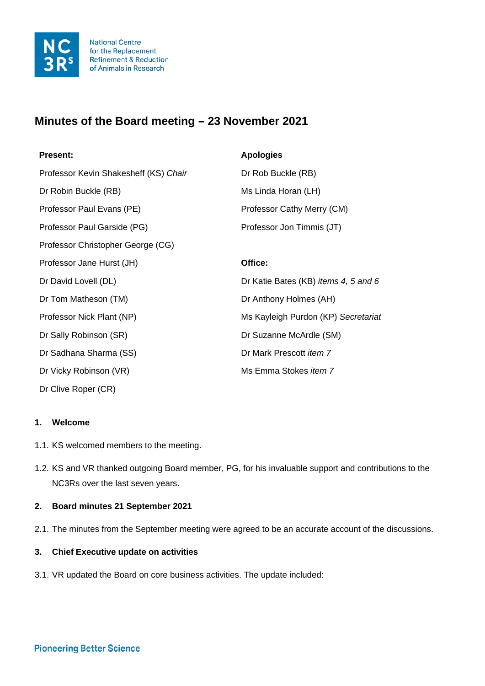

# **Minutes of the Board meeting – 23 November 2021**

| <b>Present:</b>                       | <b>Apologies</b>                            |
|---------------------------------------|---------------------------------------------|
| Professor Kevin Shakesheff (KS) Chair | Dr Rob Buckle (RB)                          |
| Dr Robin Buckle (RB)                  | Ms Linda Horan (LH)                         |
| Professor Paul Evans (PE)             | Professor Cathy Merry (CM)                  |
| Professor Paul Garside (PG)           | Professor Jon Timmis (JT)                   |
| Professor Christopher George (CG)     |                                             |
| Professor Jane Hurst (JH)             | Office:                                     |
| Dr David Lovell (DL)                  | Dr Katie Bates (KB) <i>items 4, 5 and 6</i> |
| Dr Tom Matheson (TM)                  | Dr Anthony Holmes (AH)                      |
| Professor Nick Plant (NP)             | Ms Kayleigh Purdon (KP) Secretariat         |
| Dr Sally Robinson (SR)                | Dr Suzanne McArdle (SM)                     |
| Dr Sadhana Sharma (SS)                | Dr Mark Prescott item 7                     |
| Dr Vicky Robinson (VR)                | Ms Emma Stokes <i>item</i> 7                |
| Dr Clive Roper (CR)                   |                                             |

#### **1. Welcome**

- 1.1. KS welcomed members to the meeting.
- 1.2. KS and VR thanked outgoing Board member, PG, for his invaluable support and contributions to the NC3Rs over the last seven years.

# **2. Board minutes 21 September 2021**

2.1. The minutes from the September meeting were agreed to be an accurate account of the discussions.

#### **3. Chief Executive update on activities**

3.1. VR updated the Board on core business activities. The update included: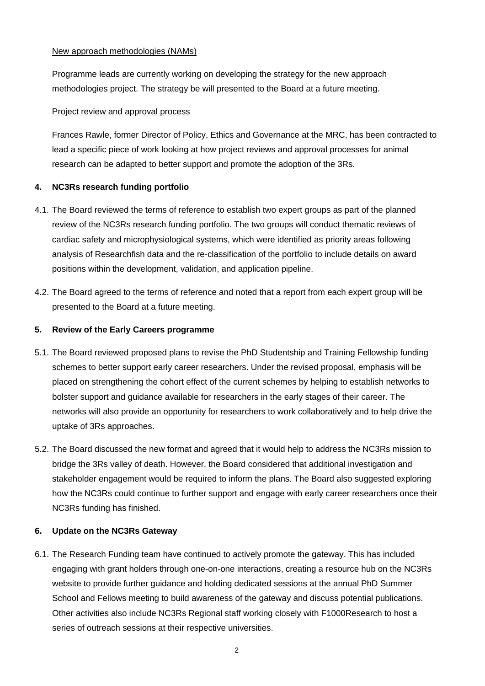## New approach methodologies (NAMs)

Programme leads are currently working on developing the strategy for the new approach methodologies project. The strategy be will presented to the Board at a future meeting.

# Project review and approval process

Frances Rawle, former Director of Policy, Ethics and Governance at the MRC, has been contracted to lead a specific piece of work looking at how project reviews and approval processes for animal research can be adapted to better support and promote the adoption of the 3Rs.

# **4. NC3Rs research funding portfolio**

- 4.1. The Board reviewed the terms of reference to establish two expert groups as part of the planned review of the NC3Rs research funding portfolio. The two groups will conduct thematic reviews of cardiac safety and microphysiological systems, which were identified as priority areas following analysis of Researchfish data and the re-classification of the portfolio to include details on award positions within the development, validation, and application pipeline.
- 4.2. The Board agreed to the terms of reference and noted that a report from each expert group will be presented to the Board at a future meeting.

#### **5. Review of the Early Careers programme**

- 5.1. The Board reviewed proposed plans to revise the PhD Studentship and Training Fellowship funding schemes to better support early career researchers. Under the revised proposal, emphasis will be placed on strengthening the cohort effect of the current schemes by helping to establish networks to bolster support and guidance available for researchers in the early stages of their career. The networks will also provide an opportunity for researchers to work collaboratively and to help drive the uptake of 3Rs approaches.
- 5.2. The Board discussed the new format and agreed that it would help to address the NC3Rs mission to bridge the 3Rs valley of death. However, the Board considered that additional investigation and stakeholder engagement would be required to inform the plans. The Board also suggested exploring how the NC3Rs could continue to further support and engage with early career researchers once their NC3Rs funding has finished.

# **6. Update on the NC3Rs Gateway**

6.1. The Research Funding team have continued to actively promote the gateway. This has included engaging with grant holders through one-on-one interactions, creating a resource hub on the NC3Rs website to provide further guidance and holding dedicated sessions at the annual PhD Summer School and Fellows meeting to build awareness of the gateway and discuss potential publications. Other activities also include NC3Rs Regional staff working closely with F1000Research to host a series of outreach sessions at their respective universities.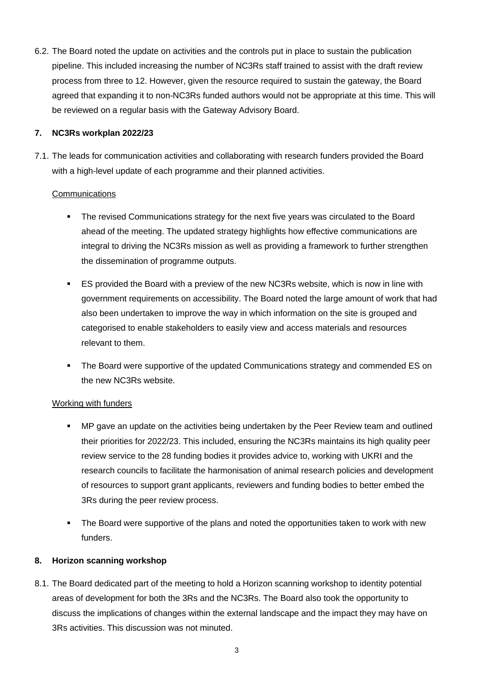6.2. The Board noted the update on activities and the controls put in place to sustain the publication pipeline. This included increasing the number of NC3Rs staff trained to assist with the draft review process from three to 12. However, given the resource required to sustain the gateway, the Board agreed that expanding it to non-NC3Rs funded authors would not be appropriate at this time. This will be reviewed on a regular basis with the Gateway Advisory Board.

## **7. NC3Rs workplan 2022/23**

7.1. The leads for communication activities and collaborating with research funders provided the Board with a high-level update of each programme and their planned activities.

#### **Communications**

- The revised Communications strategy for the next five years was circulated to the Board ahead of the meeting. The updated strategy highlights how effective communications are integral to driving the NC3Rs mission as well as providing a framework to further strengthen the dissemination of programme outputs.
- ES provided the Board with a preview of the new NC3Rs website, which is now in line with government requirements on accessibility. The Board noted the large amount of work that had also been undertaken to improve the way in which information on the site is grouped and categorised to enable stakeholders to easily view and access materials and resources relevant to them.
- **The Board were supportive of the updated Communications strategy and commended ES on** the new NC3Rs website.

# Working with funders

- MP gave an update on the activities being undertaken by the Peer Review team and outlined their priorities for 2022/23. This included, ensuring the NC3Rs maintains its high quality peer review service to the 28 funding bodies it provides advice to, working with UKRI and the research councils to facilitate the harmonisation of animal research policies and development of resources to support grant applicants, reviewers and funding bodies to better embed the 3Rs during the peer review process.
- The Board were supportive of the plans and noted the opportunities taken to work with new funders.

# **8. Horizon scanning workshop**

8.1. The Board dedicated part of the meeting to hold a Horizon scanning workshop to identity potential areas of development for both the 3Rs and the NC3Rs. The Board also took the opportunity to discuss the implications of changes within the external landscape and the impact they may have on 3Rs activities. This discussion was not minuted.